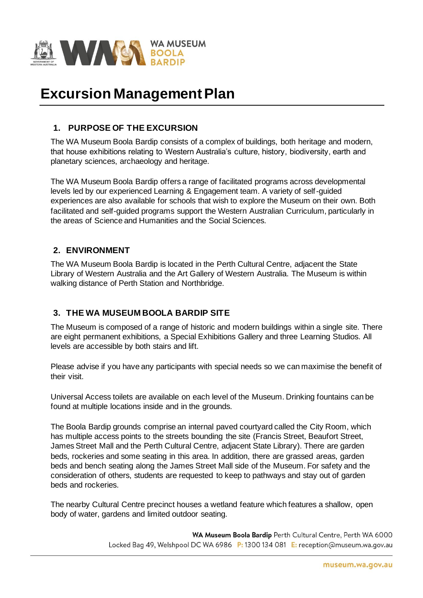

# **Excursion Management Plan**

# **1. PURPOSE OF THE EXCURSION**

The WA Museum Boola Bardip consists of a complex of buildings, both heritage and modern, that house exhibitions relating to Western Australia's culture, history, biodiversity, earth and planetary sciences, archaeology and heritage.

The WA Museum Boola Bardip offers a range of facilitated programs across developmental levels led by our experienced Learning & Engagement team. A variety of self-guided experiences are also available for schools that wish to explore the Museum on their own. Both facilitated and self-guided programs support the Western Australian Curriculum, particularly in the areas of Science and Humanities and the Social Sciences.

# **2. ENVIRONMENT**

The WA Museum Boola Bardip is located in the Perth Cultural Centre, adjacent the State Library of Western Australia and the Art Gallery of Western Australia. The Museum is within walking distance of Perth Station and Northbridge.

## **3. THE WA MUSEUM BOOLA BARDIP SITE**

The Museum is composed of a range of historic and modern buildings within a single site. There are eight permanent exhibitions, a Special Exhibitions Gallery and three Learning Studios. All levels are accessible by both stairs and lift.

Please advise if you have any participants with special needs so we can maximise the benefit of their visit.

Universal Access toilets are available on each level of the Museum. Drinking fountains can be found at multiple locations inside and in the grounds.

The Boola Bardip grounds comprise an internal paved courtyard called the City Room, which has multiple access points to the streets bounding the site (Francis Street, Beaufort Street, James Street Mall and the Perth Cultural Centre, adjacent State Library). There are garden beds, rockeries and some seating in this area. In addition, there are grassed areas, garden beds and bench seating along the James Street Mall side of the Museum. For safety and the consideration of others, students are requested to keep to pathways and stay out of garden beds and rockeries.

The nearby Cultural Centre precinct houses a wetland feature which features a shallow, open body of water, gardens and limited outdoor seating.

> WA Museum Boola Bardip Perth Cultural Centre, Perth WA 6000 Locked Bag 49, Welshpool DC WA 6986 P: 1300 134 081 E: reception@museum.wa.gov.au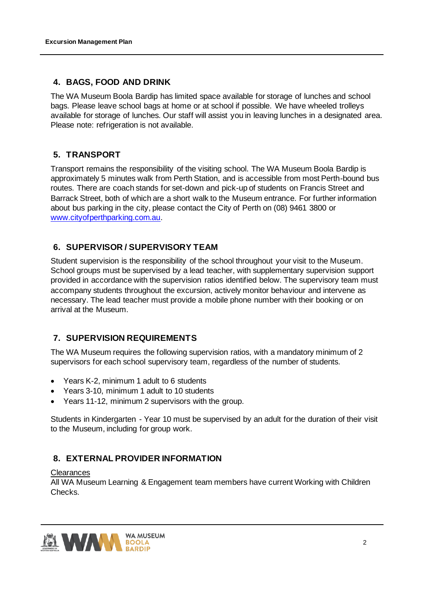## **4. BAGS, FOOD AND DRINK**

The WA Museum Boola Bardip has limited space available for storage of lunches and school bags. Please leave school bags at home or at school if possible. We have wheeled trolleys available for storage of lunches. Our staff will assist you in leaving lunches in a designated area. Please note: refrigeration is not available.

# **5. TRANSPORT**

Transport remains the responsibility of the visiting school. The WA Museum Boola Bardip is approximately 5 minutes walk from Perth Station, and is accessible from most Perth-bound bus routes. There are coach stands for set-down and pick-up of students on Francis Street and Barrack Street, both of which are a short walk to the Museum entrance. For further information about bus parking in the city, please contact the City of Perth on (08) 9461 3800 or www.cityofperthparking.com.au.

# **6. SUPERVISOR / SUPERVISORY TEAM**

Student supervision is the responsibility of the school throughout your visit to the Museum. School groups must be supervised by a lead teacher, with supplementary supervision support provided in accordance with the supervision ratios identified below. The supervisory team must accompany students throughout the excursion, actively monitor behaviour and intervene as necessary. The lead teacher must provide a mobile phone number with their booking or on arrival at the Museum.

# **7. SUPERVISION REQUIREMENTS**

The WA Museum requires the following supervision ratios, with a mandatory minimum of 2 supervisors for each school supervisory team, regardless of the number of students.

- Years K-2, minimum 1 adult to 6 students
- Years 3-10, minimum 1 adult to 10 students
- Years 11-12, minimum 2 supervisors with the group.

Students in Kindergarten - Year 10 must be supervised by an adult for the duration of their visit to the Museum, including for group work.

# **8. EXTERNAL PROVIDER INFORMATION**

#### **Clearances**

All WA Museum Learning & Engagement team members have current Working with Children Checks.

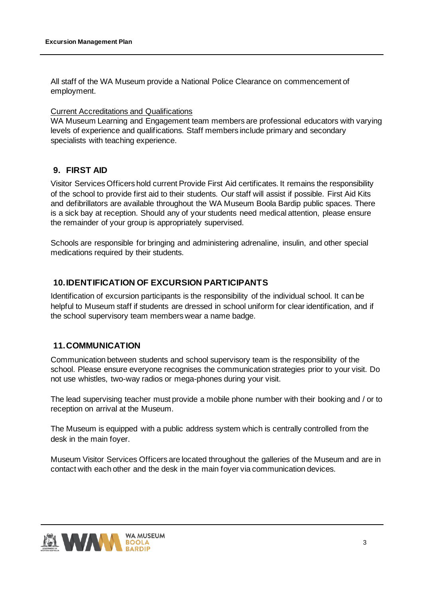All staff of the WA Museum provide a National Police Clearance on commencement of employment.

#### Current Accreditations and Qualifications

WA Museum Learning and Engagement team members are professional educators with varying levels of experience and qualifications. Staff members include primary and secondary specialists with teaching experience.

## **9. FIRST AID**

Visitor Services Officers hold current Provide First Aid certificates. It remains the responsibility of the school to provide first aid to their students. Our staff will assist if possible. First Aid Kits and defibrillators are available throughout the WA Museum Boola Bardip public spaces. There is a sick bay at reception. Should any of your students need medical attention, please ensure the remainder of your group is appropriately supervised.

Schools are responsible for bringing and administering adrenaline, insulin, and other special medications required by their students.

# **10.IDENTIFICATION OF EXCURSION PARTICIPANTS**

Identification of excursion participants is the responsibility of the individual school. It can be helpful to Museum staff if students are dressed in school uniform for clear identification, and if the school supervisory team members wear a name badge.

## **11.COMMUNICATION**

Communication between students and school supervisory team is the responsibility of the school. Please ensure everyone recognises the communication strategies prior to your visit. Do not use whistles, two-way radios or mega-phones during your visit.

The lead supervising teacher must provide a mobile phone number with their booking and / or to reception on arrival at the Museum.

The Museum is equipped with a public address system which is centrally controlled from the desk in the main foyer.

Museum Visitor Services Officers are located throughout the galleries of the Museum and are in contact with each other and the desk in the main foyer via communication devices.